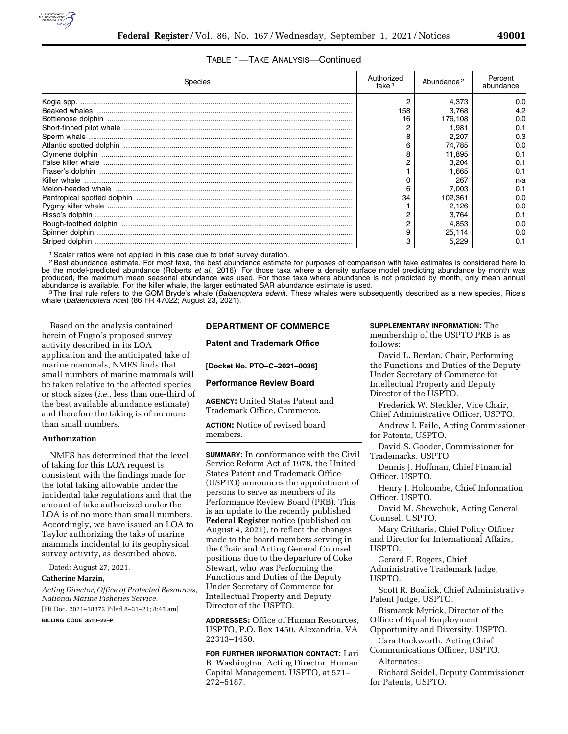

| Species | Authorized<br>take <sup>1</sup> | Abundance <sup>2</sup> | Percent<br>abundance |
|---------|---------------------------------|------------------------|----------------------|
|         | 2                               | 4.373                  | 0.0                  |
|         | 158                             | 3.768                  | 4.2                  |
|         | 16                              | 176.108                | 0.0                  |
|         |                                 | 1.981                  | 0.1                  |
|         | 8                               | 2.207                  | 0.3                  |
|         | 6                               | 74.785                 | 0.0                  |
|         |                                 | 11.895                 | 0.1                  |
|         |                                 | 3.204                  | 0.1                  |
|         |                                 | 1.665                  | 0.7                  |
|         |                                 | 267                    | n/a                  |
|         |                                 | 7.003                  | 0.1                  |
|         | 34                              | 102.361                | 0.0                  |
|         |                                 | 2.126                  | 0.0                  |
|         |                                 | 3.764                  | 0.1                  |
|         |                                 | 4.853                  | 0.0                  |
|         | 9                               | 25.114                 | 0.0                  |
|         | з                               | 5.229                  | 0.1                  |

<sup>1</sup> Scalar ratios were not applied in this case due to brief survey duration.

2Best abundance estimate. For most taxa, the best abundance estimate for purposes of comparison with take estimates is considered here to be the model-predicted abundance (Roberts *et al.,* 2016). For those taxa where a density surface model predicting abundance by month was produced, the maximum mean seasonal abundance was used. For those taxa where abundance is not predicted by month, only mean annual<br>abundance is available. For the killer whale, the larger estimated SAR abundance estimate i

<sup>3</sup>The final rule refers to the GOM Bryde's whale (Balaenoptera edeni). These whales were subsequently described as a new species, Rice's whale (*Balaenoptera ricei*) (86 FR 47022; August 23, 2021).

Based on the analysis contained herein of Fugro's proposed survey activity described in its LOA application and the anticipated take of marine mammals, NMFS finds that small numbers of marine mammals will be taken relative to the affected species or stock sizes (*i.e.,* less than one-third of the best available abundance estimate) and therefore the taking is of no more than small numbers.

## **Authorization**

NMFS has determined that the level of taking for this LOA request is consistent with the findings made for the total taking allowable under the incidental take regulations and that the amount of take authorized under the LOA is of no more than small numbers. Accordingly, we have issued an LOA to Taylor authorizing the take of marine mammals incidental to its geophysical survey activity, as described above.

Dated: August 27, 2021.

#### **Catherine Marzin,**

*Acting Director, Office of Protected Resources, National Marine Fisheries Service.* 

[FR Doc. 2021–18872 Filed 8–31–21; 8:45 am] **BILLING CODE 3510–22–P** 

**Patent and Trademark Office** 

**DEPARTMENT OF COMMERCE** 

**[Docket No. PTO–C–2021–0036]** 

## **Performance Review Board**

**AGENCY:** United States Patent and Trademark Office, Commerce.

**ACTION:** Notice of revised board members.

**SUMMARY:** In conformance with the Civil Service Reform Act of 1978, the United States Patent and Trademark Office (USPTO) announces the appointment of persons to serve as members of its Performance Review Board (PRB). This is an update to the recently published **Federal Register** notice (published on August 4, 2021), to reflect the changes made to the board members serving in the Chair and Acting General Counsel positions due to the departure of Coke Stewart, who was Performing the Functions and Duties of the Deputy Under Secretary of Commerce for Intellectual Property and Deputy Director of the USPTO.

**ADDRESSES:** Office of Human Resources, USPTO, P.O. Box 1450, Alexandria, VA 22313–1450.

**FOR FURTHER INFORMATION CONTACT:** Lari B. Washington, Acting Director, Human Capital Management, USPTO, at 571– 272–5187.

**SUPPLEMENTARY INFORMATION:** The membership of the USPTO PRB is as follows:

David L. Berdan, Chair, Performing the Functions and Duties of the Deputy Under Secretary of Commerce for Intellectual Property and Deputy Director of the USPTO.

Frederick W. Steckler, Vice Chair, Chief Administrative Officer, USPTO.

Andrew I. Faile, Acting Commissioner for Patents, USPTO.

David S. Gooder, Commissioner for Trademarks, USPTO.

Dennis J. Hoffman, Chief Financial Officer, USPTO.

Henry J. Holcombe, Chief Information Officer, USPTO.

David M. Shewchuk, Acting General Counsel, USPTO.

Mary Critharis, Chief Policy Officer and Director for International Affairs, USPTO.

Gerard F. Rogers, Chief

Administrative Trademark Judge, USPTO.

Scott R. Boalick, Chief Administrative Patent Judge, USPTO.

Bismarck Myrick, Director of the Office of Equal Employment

Opportunity and Diversity, USPTO. Cara Duckworth, Acting Chief

Communications Officer, USPTO.

Alternates:

Richard Seidel, Deputy Commissioner for Patents, USPTO.